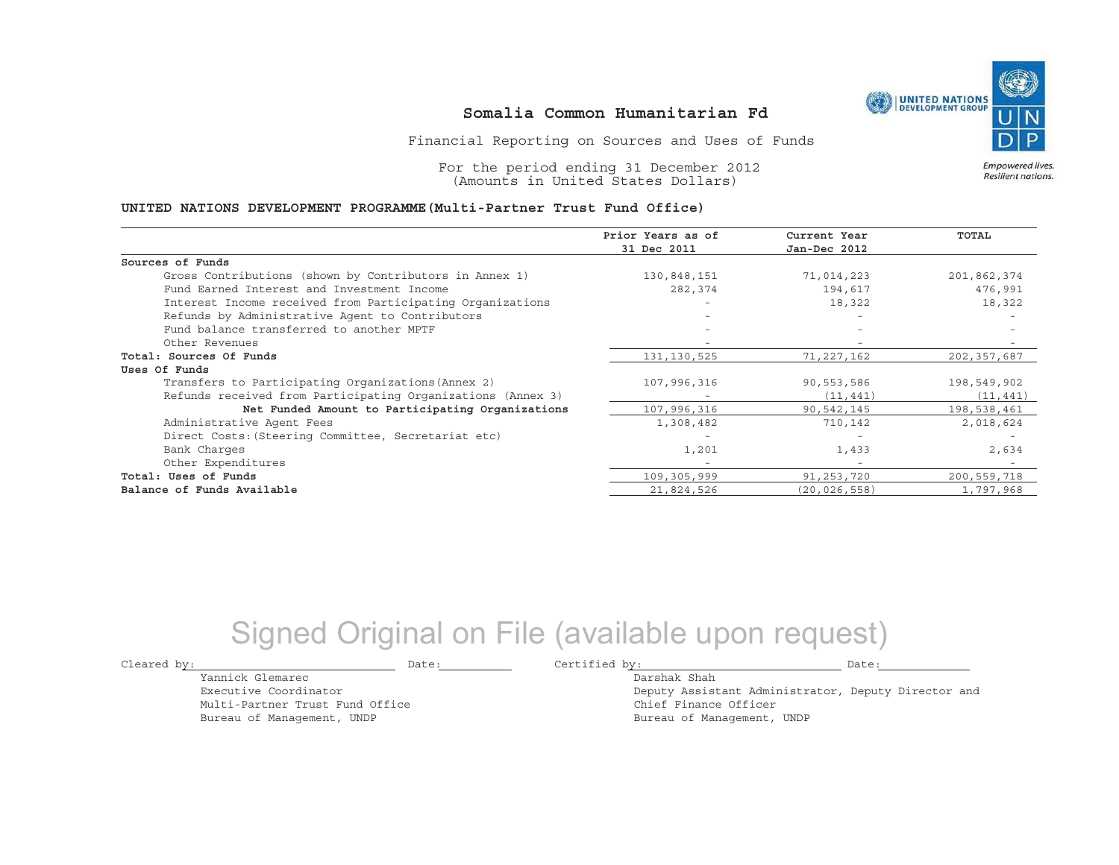

#### **Somalia Common Humanitarian Fd**

Financial Reporting on Sources and Uses of Funds

For the period ending 31 December 2012 (Amounts in United States Dollars)

#### Empowered lives. Resilient nations.

#### **UNITED NATIONS DEVELOPMENT PROGRAMME(Multi-Partner Trust Fund Office)**

|                                                             | Prior Years as of | Current Year   | <b>TOTAL</b> |
|-------------------------------------------------------------|-------------------|----------------|--------------|
|                                                             | 31 Dec 2011       | Jan-Dec 2012   |              |
| Sources of Funds                                            |                   |                |              |
| Gross Contributions (shown by Contributors in Annex 1)      | 130,848,151       | 71,014,223     | 201,862,374  |
| Fund Earned Interest and Investment Income                  | 282,374           | 194,617        | 476,991      |
| Interest Income received from Participating Organizations   |                   | 18,322         | 18,322       |
| Refunds by Administrative Agent to Contributors             |                   | $-$            |              |
| Fund balance transferred to another MPTF                    |                   |                |              |
| Other Revenues                                              |                   |                |              |
| Total: Sources Of Funds                                     | 131,130,525       | 71,227,162     | 202,357,687  |
| Uses Of Funds                                               |                   |                |              |
| Transfers to Participating Organizations (Annex 2)          | 107,996,316       | 90,553,586     | 198,549,902  |
| Refunds received from Participating Organizations (Annex 3) |                   | (11, 441)      | (11, 441)    |
| Net Funded Amount to Participating Organizations            | 107,996,316       | 90,542,145     | 198,538,461  |
| Administrative Agent Fees                                   | 1,308,482         | 710,142        | 2,018,624    |
| Direct Costs: (Steering Committee, Secretariat etc)         |                   |                |              |
| Bank Charges                                                | 1,201             | 1,433          | 2,634        |
| Other Expenditures                                          |                   | $\overline{a}$ |              |
| Total: Uses of Funds                                        | 109,305,999       | 91,253,720     | 200,559,718  |
| Balance of Funds Available                                  | 21,824,526        | (20, 026, 558) | 1,797,968    |

## Signed Original on File (available upon request)

Yannick GlemarecExecutive CoordinatorMulti-Partner Trust Fund Office Bureau of Management, UNDP

Cleared by:  $\qquad \qquad$  Date:  $\qquad \qquad$  Date:  $\qquad \qquad$  Certified by:  $\qquad \qquad$  Date:

Darshak Shah

Deputy Assistant Administrator, Deputy Director and Chief Finance Officer Bureau of Management, UNDP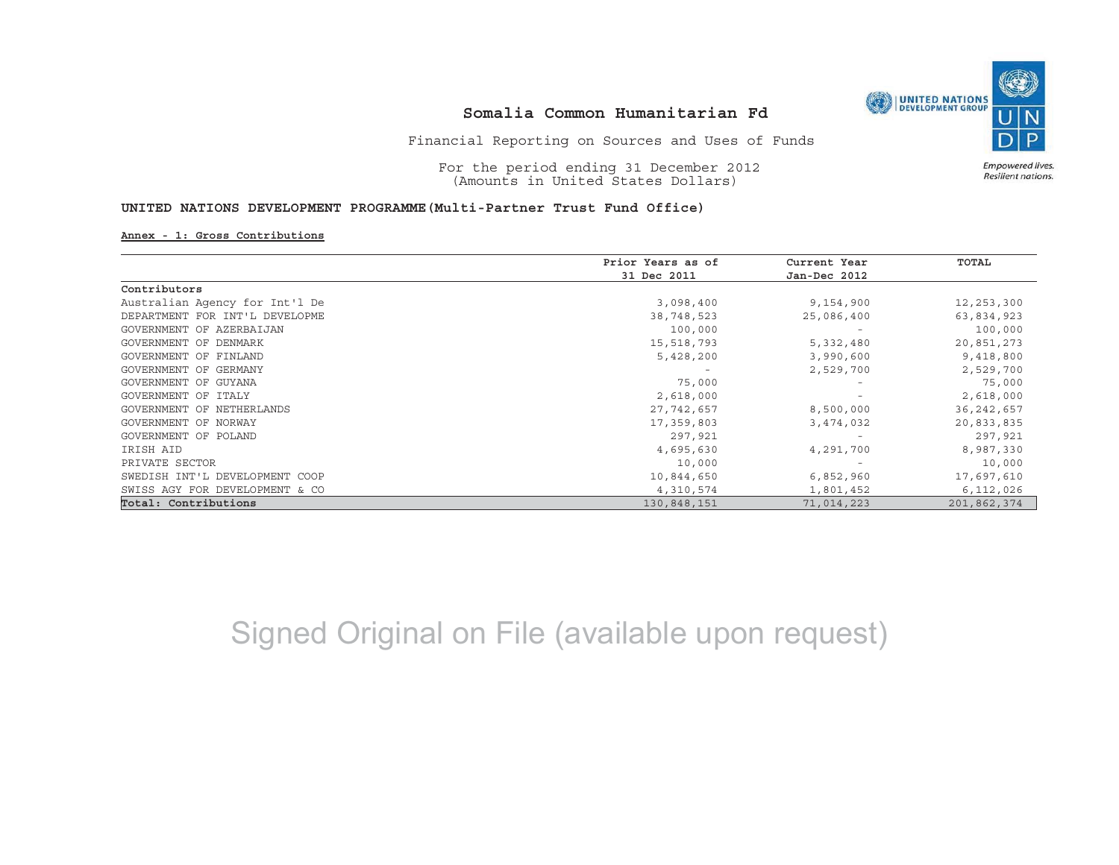

## **Somalia Common Humanitarian Fd**

Financial Reporting on Sources and Uses of Funds

For the period ending 31 December 2012 (Amounts in United States Dollars)

**UNITED NATIONS DEVELOPMENT PROGRAMME(Multi-Partner Trust Fund Office)**

**Annex - 1: Gross Contributions**

|                                | Prior Years as of | Current Year<br>Jan-Dec 2012      | TOTAL        |
|--------------------------------|-------------------|-----------------------------------|--------------|
|                                | 31 Dec 2011       |                                   |              |
| Contributors                   |                   |                                   |              |
| Australian Agency for Int'l De | 3,098,400         | 9,154,900                         | 12,253,300   |
| DEPARTMENT FOR INT'L DEVELOPME | 38,748,523        | 25,086,400                        | 63,834,923   |
| GOVERNMENT OF AZERBAIJAN       | 100,000           | $\hspace{1.0cm} - \hspace{1.0cm}$ | 100,000      |
| GOVERNMENT OF DENMARK          | 15,518,793        | 5,332,480                         | 20,851,273   |
| GOVERNMENT OF FINLAND          | 5,428,200         | 3,990,600                         | 9,418,800    |
| GOVERNMENT OF GERMANY          |                   | 2,529,700                         | 2,529,700    |
| GOVERNMENT OF GUYANA           | 75,000            |                                   | 75,000       |
| GOVERNMENT OF ITALY            | 2,618,000         |                                   | 2,618,000    |
| GOVERNMENT OF NETHERLANDS      | 27,742,657        | 8,500,000                         | 36, 242, 657 |
| GOVERNMENT OF NORWAY           | 17,359,803        | 3,474,032                         | 20,833,835   |
| GOVERNMENT OF POLAND           | 297,921           |                                   | 297,921      |
| IRISH AID                      | 4,695,630         | 4,291,700                         | 8,987,330    |
| PRIVATE SECTOR                 | 10,000            |                                   | 10,000       |
| SWEDISH INT'L DEVELOPMENT COOP | 10,844,650        | 6,852,960                         | 17,697,610   |
| SWISS AGY FOR DEVELOPMENT & CO | 4,310,574         | 1,801,452                         | 6,112,026    |
| Total: Contributions           | 130,848,151       | 71,014,223                        | 201,862,374  |

# Signed Original on File (available upon request)

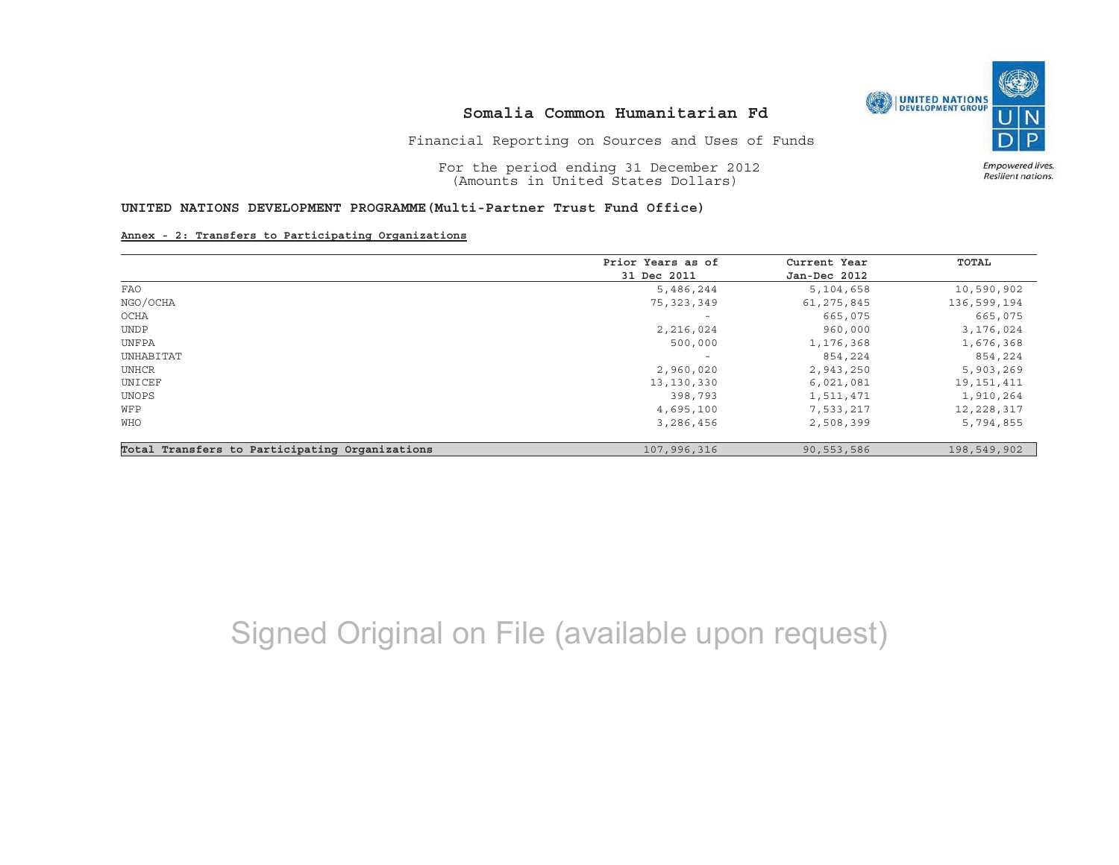

Empowered lives. Resilient nations.

### **Somalia Common Humanitarian Fd**

Financial Reporting on Sources and Uses of Funds

For the period ending 31 December 2012 (Amounts in United States Dollars)

**UNITED NATIONS DEVELOPMENT PROGRAMME(Multi-Partner Trust Fund Office)**

**Annex - 2: Transfers to Participating Organizations**

|                                                | Prior Years as of        | Current Year<br>Jan-Dec 2012 | TOTAL        |
|------------------------------------------------|--------------------------|------------------------------|--------------|
|                                                | 31 Dec 2011              |                              |              |
| FAO                                            | 5,486,244                | 5,104,658                    | 10,590,902   |
| NGO/OCHA                                       | 75, 323, 349             | 61, 275, 845                 | 136,599,194  |
| OCHA                                           |                          | 665,075                      | 665,075      |
| <b>UNDP</b>                                    | 2,216,024                | 960,000                      | 3,176,024    |
| UNFPA                                          | 500,000                  | 1,176,368                    | 1,676,368    |
| UNHABITAT                                      | $\overline{\phantom{m}}$ | 854,224                      | 854,224      |
| UNHCR                                          | 2,960,020                | 2,943,250                    | 5,903,269    |
| UNICEF                                         | 13, 130, 330             | 6,021,081                    | 19, 151, 411 |
| UNOPS                                          | 398,793                  | 1,511,471                    | 1,910,264    |
| WFP                                            | 4,695,100                | 7,533,217                    | 12,228,317   |
| WHO                                            | 3,286,456                | 2,508,399                    | 5,794,855    |
| Total Transfers to Participating Organizations | 107,996,316              | 90,553,586                   | 198,549,902  |

# Signed Original on File (available upon request)